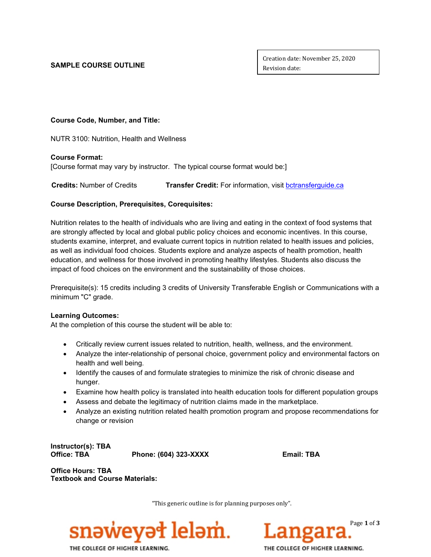**SAMPLE COURSE OUTLINE** 

Creation date: November 25, 2020 Revision date:

## **Course Code, Number, and Title:**

NUTR 3100: Nutrition, Health and Wellness

### **Course Format:**

[Course format may vary by instructor. The typical course format would be:]

 **Credits:** Number of Credits **Transfer Credit:** For information, visit [bctransferguide.ca](http://www.bctransferguide.ca/)

## **Course Description, Prerequisites, Corequisites:**

Nutrition relates to the health of individuals who are living and eating in the context of food systems that are strongly affected by local and global public policy choices and economic incentives. In this course, students examine, interpret, and evaluate current topics in nutrition related to health issues and policies, as well as individual food choices. Students explore and analyze aspects of health promotion, health education, and wellness for those involved in promoting healthy lifestyles. Students also discuss the impact of food choices on the environment and the sustainability of those choices.

Prerequisite(s): 15 credits including 3 credits of University Transferable English or Communications with a minimum "C" grade.

### **Learning Outcomes:**

At the completion of this course the student will be able to:

- Critically review current issues related to nutrition, health, wellness, and the environment.
- Analyze the inter-relationship of personal choice, government policy and environmental factors on health and well being.
- Identify the causes of and formulate strategies to minimize the risk of chronic disease and hunger.
- Examine how health policy is translated into health education tools for different population groups
- Assess and debate the legitimacy of nutrition claims made in the marketplace.
- Analyze an existing nutrition related health promotion program and propose recommendations for change or revision

**Instructor(s): TBA**

**Office: TBA Phone: (604) 323-XXXX Email: TBA**

**Office Hours: TBA Textbook and Course Materials:**

"This generic outline is for planning purposes only".





THE COLLEGE OF HIGHER LEARNING.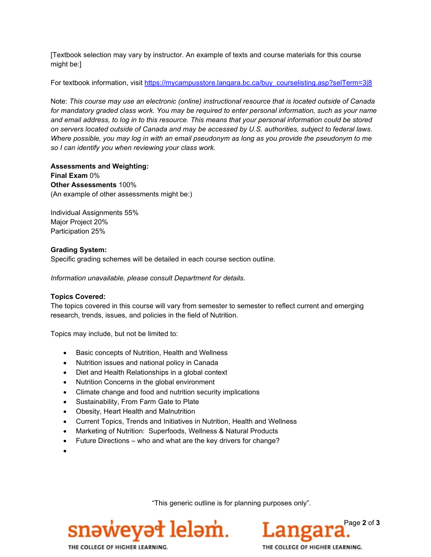[Textbook selection may vary by instructor. An example of texts and course materials for this course might be:]

For textbook information, visit [https://mycampusstore.langara.bc.ca/buy\\_courselisting.asp?selTerm=3|8](https://mycampusstore.langara.bc.ca/buy_courselisting.asp?selTerm=3|8)

Note: *This course may use an electronic (online) instructional resource that is located outside of Canada for mandatory graded class work. You may be required to enter personal information, such as your name and email address, to log in to this resource. This means that your personal information could be stored on servers located outside of Canada and may be accessed by U.S. authorities, subject to federal laws. Where possible, you may log in with an email pseudonym as long as you provide the pseudonym to me so I can identify you when reviewing your class work.*

**Assessments and Weighting: Final Exam** 0% **Other Assessments** 100% (An example of other assessments might be:)

Individual Assignments 55% Major Project 20% Participation 25%

### **Grading System:**

Specific grading schemes will be detailed in each course section outline.

*Information unavailable, please consult Department for details.*

### **Topics Covered:**

The topics covered in this course will vary from semester to semester to reflect current and emerging research, trends, issues, and policies in the field of Nutrition.

Topics may include, but not be limited to:

- Basic concepts of Nutrition, Health and Wellness
- Nutrition issues and national policy in Canada
- Diet and Health Relationships in a global context
- Nutrition Concerns in the global environment
- Climate change and food and nutrition security implications
- Sustainability, From Farm Gate to Plate
- Obesity, Heart Health and Malnutrition
- Current Topics, Trends and Initiatives in Nutrition, Health and Wellness
- Marketing of Nutrition: Superfoods, Wellness & Natural Products
- Future Directions who and what are the key drivers for change?
- •

"This generic outline is for planning purposes only".





THE COLLEGE OF HIGHER LEARNING.